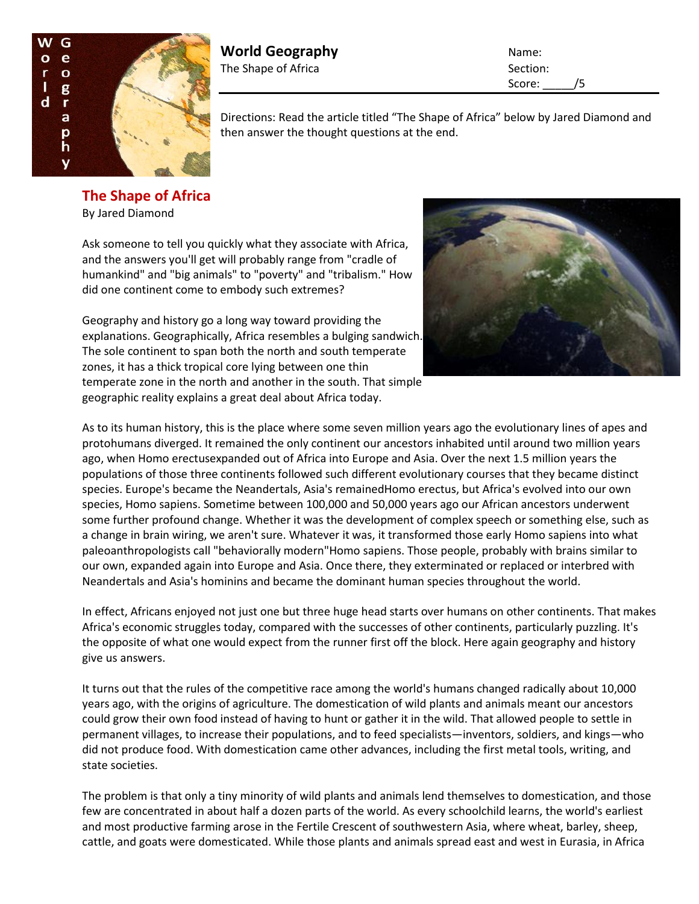

**World Geography** Name: The Shape of Africa Section: Section:

Score: /5

Directions: Read the article titled "The Shape of Africa" below by Jared Diamond and then answer the thought questions at the end.

**The Shape of Africa** By Jared Diamond

Ask someone to tell you quickly what they associate with Africa, and the answers you'll get will probably range from "cradle of humankind" and "big animals" to "poverty" and "tribalism." How did one continent come to embody such extremes?

Geography and history go a long way toward providing the explanations. Geographically, Africa resembles a bulging sandwich. The sole continent to span both the north and south temperate zones, it has a thick tropical core lying between one thin temperate zone in the north and another in the south. That simple geographic reality explains a great deal about Africa today.



As to its human history, this is the place where some seven million years ago the evolutionary lines of apes and protohumans diverged. It remained the only continent our ancestors inhabited until around two million years ago, when Homo erectusexpanded out of Africa into Europe and Asia. Over the next 1.5 million years the populations of those three continents followed such different evolutionary courses that they became distinct species. Europe's became the Neandertals, Asia's remainedHomo erectus, but Africa's evolved into our own species, Homo sapiens. Sometime between 100,000 and 50,000 years ago our African ancestors underwent some further profound change. Whether it was the development of complex speech or something else, such as a change in brain wiring, we aren't sure. Whatever it was, it transformed those early Homo sapiens into what paleoanthropologists call "behaviorally modern"Homo sapiens. Those people, probably with brains similar to our own, expanded again into Europe and Asia. Once there, they exterminated or replaced or interbred with Neandertals and Asia's hominins and became the dominant human species throughout the world.

In effect, Africans enjoyed not just one but three huge head starts over humans on other continents. That makes Africa's economic struggles today, compared with the successes of other continents, particularly puzzling. It's the opposite of what one would expect from the runner first off the block. Here again geography and history give us answers.

It turns out that the rules of the competitive race among the world's humans changed radically about 10,000 years ago, with the origins of agriculture. The domestication of wild plants and animals meant our ancestors could grow their own food instead of having to hunt or gather it in the wild. That allowed people to settle in permanent villages, to increase their populations, and to feed specialists—inventors, soldiers, and kings—who did not produce food. With domestication came other advances, including the first metal tools, writing, and state societies.

The problem is that only a tiny minority of wild plants and animals lend themselves to domestication, and those few are concentrated in about half a dozen parts of the world. As every schoolchild learns, the world's earliest and most productive farming arose in the Fertile Crescent of southwestern Asia, where wheat, barley, sheep, cattle, and goats were domesticated. While those plants and animals spread east and west in Eurasia, in Africa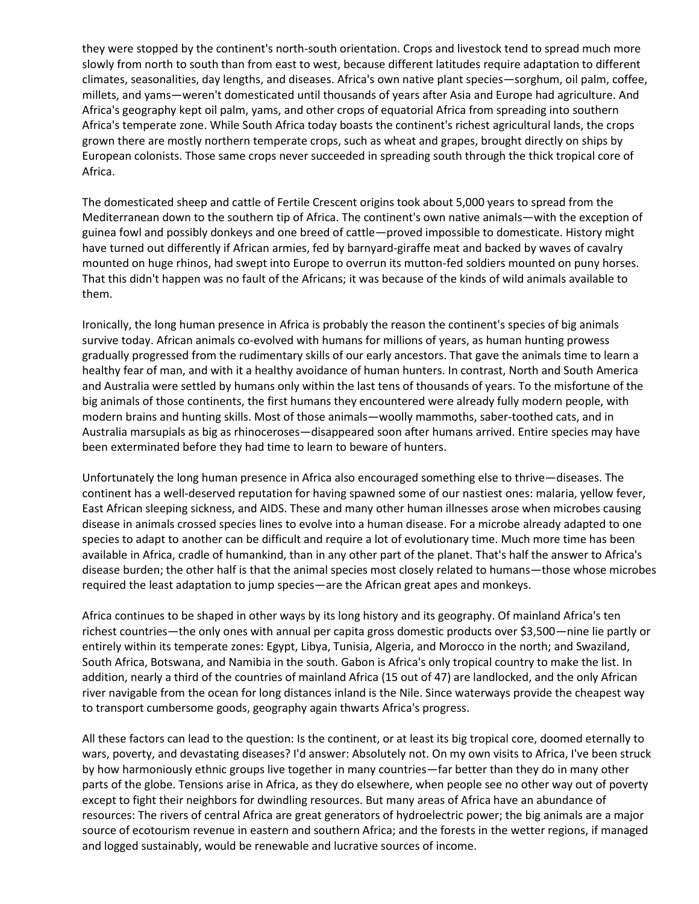they were stopped by the continent's north-south orientation. Crops and livestock tend to spread much more slowly from north to south than from east to west, because different latitudes require adaptation to different climates, seasonalities, day lengths, and diseases. Africa's own native plant species—sorghum, oil palm, coffee, millets, and yams—weren't domesticated until thousands of years after Asia and Europe had agriculture. And Africa's geography kept oil palm, yams, and other crops of equatorial Africa from spreading into southern Africa's temperate zone. While South Africa today boasts the continent's richest agricultural lands, the crops grown there are mostly northern temperate crops, such as wheat and grapes, brought directly on ships by European colonists. Those same crops never succeeded in spreading south through the thick tropical core of Africa.

The domesticated sheep and cattle of Fertile Crescent origins took about 5,000 years to spread from the Mediterranean down to the southern tip of Africa. The continent's own native animals—with the exception of guinea fowl and possibly donkeys and one breed of cattle—proved impossible to domesticate. History might have turned out differently if African armies, fed by barnyard-giraffe meat and backed by waves of cavalry mounted on huge rhinos, had swept into Europe to overrun its mutton-fed soldiers mounted on puny horses. That this didn't happen was no fault of the Africans; it was because of the kinds of wild animals available to them.

Ironically, the long human presence in Africa is probably the reason the continent's species of big animals survive today. African animals co-evolved with humans for millions of years, as human hunting prowess gradually progressed from the rudimentary skills of our early ancestors. That gave the animals time to learn a healthy fear of man, and with it a healthy avoidance of human hunters. In contrast, North and South America and Australia were settled by humans only within the last tens of thousands of years. To the misfortune of the big animals of those continents, the first humans they encountered were already fully modern people, with modern brains and hunting skills. Most of those animals—woolly mammoths, saber-toothed cats, and in Australia marsupials as big as rhinoceroses—disappeared soon after humans arrived. Entire species may have been exterminated before they had time to learn to beware of hunters.

Unfortunately the long human presence in Africa also encouraged something else to thrive—diseases. The continent has a well-deserved reputation for having spawned some of our nastiest ones: malaria, yellow fever, East African sleeping sickness, and AIDS. These and many other human illnesses arose when microbes causing disease in animals crossed species lines to evolve into a human disease. For a microbe already adapted to one species to adapt to another can be difficult and require a lot of evolutionary time. Much more time has been available in Africa, cradle of humankind, than in any other part of the planet. That's half the answer to Africa's disease burden; the other half is that the animal species most closely related to humans—those whose microbes required the least adaptation to jump species—are the African great apes and monkeys.

Africa continues to be shaped in other ways by its long history and its geography. Of mainland Africa's ten richest countries—the only ones with annual per capita gross domestic products over \$3,500—nine lie partly or entirely within its temperate zones: Egypt, Libya, Tunisia, Algeria, and Morocco in the north; and Swaziland, South Africa, Botswana, and Namibia in the south. Gabon is Africa's only tropical country to make the list. In addition, nearly a third of the countries of mainland Africa (15 out of 47) are landlocked, and the only African river navigable from the ocean for long distances inland is the Nile. Since waterways provide the cheapest way to transport cumbersome goods, geography again thwarts Africa's progress.

All these factors can lead to the question: Is the continent, or at least its big tropical core, doomed eternally to wars, poverty, and devastating diseases? I'd answer: Absolutely not. On my own visits to Africa, I've been struck by how harmoniously ethnic groups live together in many countries—far better than they do in many other parts of the globe. Tensions arise in Africa, as they do elsewhere, when people see no other way out of poverty except to fight their neighbors for dwindling resources. But many areas of Africa have an abundance of resources: The rivers of central Africa are great generators of hydroelectric power; the big animals are a major source of ecotourism revenue in eastern and southern Africa; and the forests in the wetter regions, if managed and logged sustainably, would be renewable and lucrative sources of income.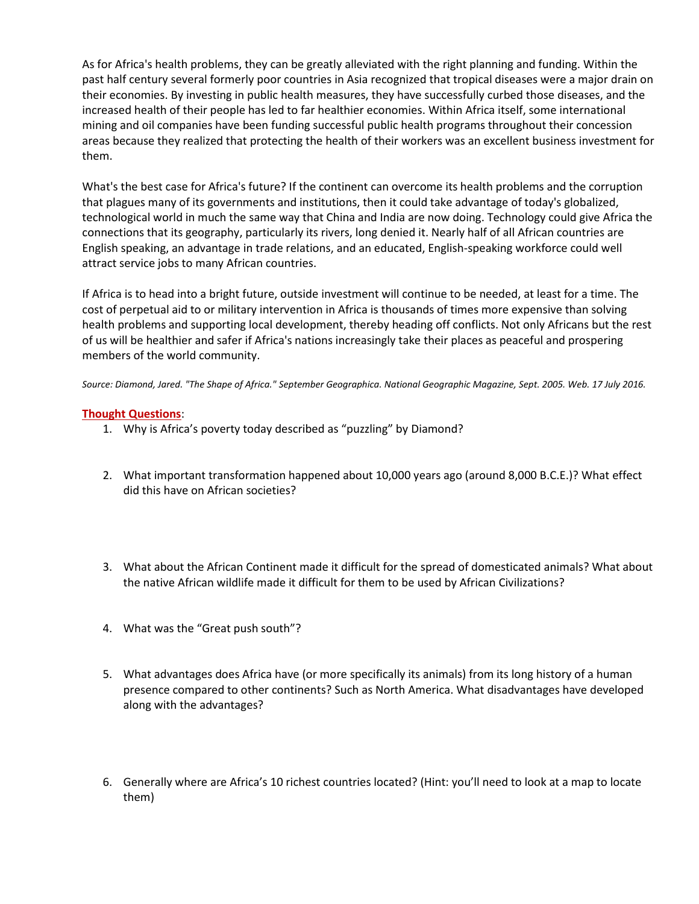As for Africa's health problems, they can be greatly alleviated with the right planning and funding. Within the past half century several formerly poor countries in Asia recognized that tropical diseases were a major drain on their economies. By investing in public health measures, they have successfully curbed those diseases, and the increased health of their people has led to far healthier economies. Within Africa itself, some international mining and oil companies have been funding successful public health programs throughout their concession areas because they realized that protecting the health of their workers was an excellent business investment for them.

What's the best case for Africa's future? If the continent can overcome its health problems and the corruption that plagues many of its governments and institutions, then it could take advantage of today's globalized, technological world in much the same way that China and India are now doing. Technology could give Africa the connections that its geography, particularly its rivers, long denied it. Nearly half of all African countries are English speaking, an advantage in trade relations, and an educated, English-speaking workforce could well attract service jobs to many African countries.

If Africa is to head into a bright future, outside investment will continue to be needed, at least for a time. The cost of perpetual aid to or military intervention in Africa is thousands of times more expensive than solving health problems and supporting local development, thereby heading off conflicts. Not only Africans but the rest of us will be healthier and safer if Africa's nations increasingly take their places as peaceful and prospering members of the world community.

*Source: Diamond, Jared. "The Shape of Africa." September Geographica. National Geographic Magazine, Sept. 2005. Web. 17 July 2016.*

## **Thought Questions**:

- 1. Why is Africa's poverty today described as "puzzling" by Diamond?
- 2. What important transformation happened about 10,000 years ago (around 8,000 B.C.E.)? What effect did this have on African societies?
- 3. What about the African Continent made it difficult for the spread of domesticated animals? What about the native African wildlife made it difficult for them to be used by African Civilizations?
- 4. What was the "Great push south"?
- 5. What advantages does Africa have (or more specifically its animals) from its long history of a human presence compared to other continents? Such as North America. What disadvantages have developed along with the advantages?
- 6. Generally where are Africa's 10 richest countries located? (Hint: you'll need to look at a map to locate them)